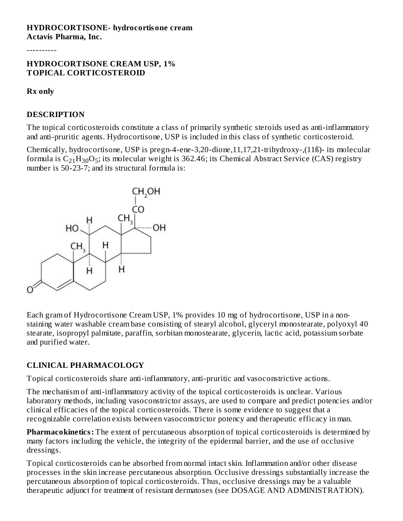#### **HYDROCORTISONE- hydrocortisone cream Actavis Pharma, Inc.**

----------

#### **HYDROCORTISONE CREAM USP, 1% TOPICAL CORTICOSTEROID**

**Rx only**

### **DESCRIPTION**

The topical corticosteroids constitute a class of primarily synthetic steroids used as anti-inflammatory and anti-pruritic agents. Hydrocortisone, USP is included in this class of synthetic corticosteroid.

Chemically, hydrocortisone, USP is pregn-4-ene-3,20-dione,11,17,21-trihydroxy-,(11ß)- its molecular formula is  $\rm{C_{21}H_{30}O_5}$ ; its molecular weight is 362.46; its Chemical Abstract Service (CAS) registry number is 50-23-7; and its structural formula is:



Each gram of Hydrocortisone Cream USP, 1% provides 10 mg of hydrocortisone, USP in a nonstaining water washable cream base consisting of stearyl alcohol, glyceryl monostearate, polyoxyl 40 stearate, isopropyl palmitate, paraffin, sorbitan monostearate, glycerin, lactic acid, potassium sorbate and purified water.

## **CLINICAL PHARMACOLOGY**

Topical corticosteroids share anti-inflammatory, anti-pruritic and vasoconstrictive actions.

The mechanism of anti-inflammatory activity of the topical corticosteroids is unclear. Various laboratory methods, including vasoconstrictor assays, are used to compare and predict potencies and/or clinical efficacies of the topical corticosteroids. There is some evidence to suggest that a recognizable correlation exists between vasoconstrictor potency and therapeutic efficacy in man.

**Pharmacokinetics:** The extent of percutaneous absorption of topical corticosteroids is determined by many factors including the vehicle, the integrity of the epidermal barrier, and the use of occlusive dressings.

Topical corticosteroids can be absorbed from normal intact skin. Inflammation and/or other disease processes in the skin increase percutaneous absorption. Occlusive dressings substantially increase the percutaneous absorption of topical corticosteroids. Thus, occlusive dressings may be a valuable therapeutic adjunct for treatment of resistant dermatoses (see DOSAGE AND ADMINISTRATION).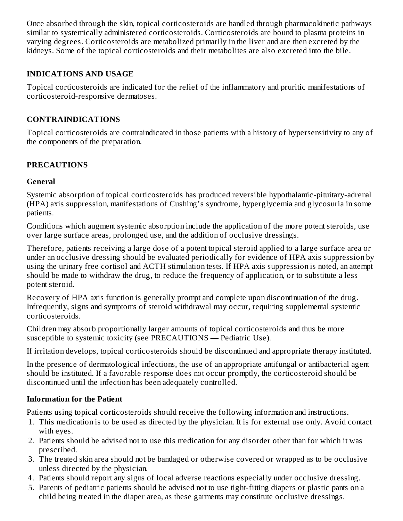Once absorbed through the skin, topical corticosteroids are handled through pharmacokinetic pathways similar to systemically administered corticosteroids. Corticosteroids are bound to plasma proteins in varying degrees. Corticosteroids are metabolized primarily in the liver and are then excreted by the kidneys. Some of the topical corticosteroids and their metabolites are also excreted into the bile.

## **INDICATIONS AND USAGE**

Topical corticosteroids are indicated for the relief of the inflammatory and pruritic manifestations of corticosteroid-responsive dermatoses.

## **CONTRAINDICATIONS**

Topical corticosteroids are contraindicated in those patients with a history of hypersensitivity to any of the components of the preparation.

## **PRECAUTIONS**

### **General**

Systemic absorption of topical corticosteroids has produced reversible hypothalamic-pituitary-adrenal (HPA) axis suppression, manifestations of Cushing's syndrome, hyperglycemia and glycosuria in some patients.

Conditions which augment systemic absorption include the application of the more potent steroids, use over large surface areas, prolonged use, and the addition of occlusive dressings.

Therefore, patients receiving a large dose of a potent topical steroid applied to a large surface area or under an occlusive dressing should be evaluated periodically for evidence of HPA axis suppression by using the urinary free cortisol and ACTH stimulation tests. If HPA axis suppression is noted, an attempt should be made to withdraw the drug, to reduce the frequency of application, or to substitute a less potent steroid.

Recovery of HPA axis function is generally prompt and complete upon discontinuation of the drug. Infrequently, signs and symptoms of steroid withdrawal may occur, requiring supplemental systemic corticosteroids.

Children may absorb proportionally larger amounts of topical corticosteroids and thus be more susceptible to systemic toxicity (see PRECAUTIONS — Pediatric Use).

If irritation develops, topical corticosteroids should be discontinued and appropriate therapy instituted.

In the presence of dermatological infections, the use of an appropriate antifungal or antibacterial agent should be instituted. If a favorable response does not occur promptly, the corticosteroid should be discontinued until the infection has been adequately controlled.

### **Information for the Patient**

Patients using topical corticosteroids should receive the following information and instructions.

- 1. This medication is to be used as directed by the physician. It is for external use only. Avoid contact with eyes.
- 2. Patients should be advised not to use this medication for any disorder other than for which it was prescribed.
- 3. The treated skin area should not be bandaged or otherwise covered or wrapped as to be occlusive unless directed by the physician.
- 4. Patients should report any signs of local adverse reactions especially under occlusive dressing.
- 5. Parents of pediatric patients should be advised not to use tight-fitting diapers or plastic pants on a child being treated in the diaper area, as these garments may constitute occlusive dressings.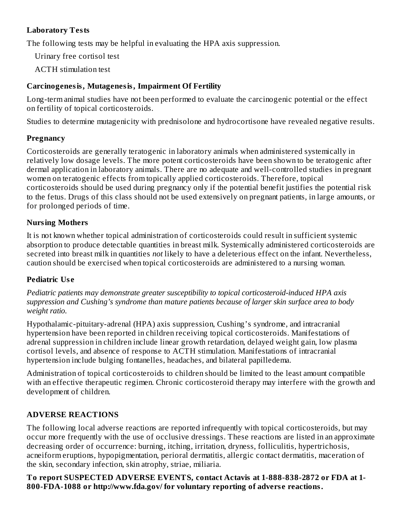## **Laboratory Tests**

The following tests may be helpful in evaluating the HPA axis suppression.

Urinary free cortisol test

ACTH stimulation test

# **Carcinogenesis, Mutagenesis, Impairment Of Fertility**

Long-term animal studies have not been performed to evaluate the carcinogenic potential or the effect on fertility of topical corticosteroids.

Studies to determine mutagenicity with prednisolone and hydrocortisone have revealed negative results.

## **Pregnancy**

Corticosteroids are generally teratogenic in laboratory animals when administered systemically in relatively low dosage levels. The more potent corticosteroids have been shown to be teratogenic after dermal application in laboratory animals. There are no adequate and well-controlled studies in pregnant women on teratogenic effects from topically applied corticosteroids. Therefore, topical corticosteroids should be used during pregnancy only if the potential benefit justifies the potential risk to the fetus. Drugs of this class should not be used extensively on pregnant patients, in large amounts, or for prolonged periods of time.

# **Nursing Mothers**

It is not known whether topical administration of corticosteroids could result in sufficient systemic absorption to produce detectable quantities in breast milk. Systemically administered corticosteroids are secreted into breast milk in quantities *not* likely to have a deleterious effect on the infant. Nevertheless, caution should be exercised when topical corticosteroids are administered to a nursing woman.

## **Pediatric Us e**

*Pediatric patients may demonstrate greater susceptibility to topical corticosteroid-induced HPA axis suppression and Cushing's syndrome than mature patients because of larger skin surface area to body weight ratio.*

Hypothalamic-pituitary-adrenal (HPA) axis suppression, Cushing's syndrome, and intracranial hypertension have been reported in children receiving topical corticosteroids. Manifestations of adrenal suppression in children include linear growth retardation, delayed weight gain, low plasma cortisol levels, and absence of response to ACTH stimulation. Manifestations of intracranial hypertension include bulging fontanelles, headaches, and bilateral papilledema.

Administration of topical corticosteroids to children should be limited to the least amount compatible with an effective therapeutic regimen. Chronic corticosteroid therapy may interfere with the growth and development of children.

# **ADVERSE REACTIONS**

The following local adverse reactions are reported infrequently with topical corticosteroids, but may occur more frequently with the use of occlusive dressings. These reactions are listed in an approximate decreasing order of occurrence: burning, itching, irritation, dryness, folliculitis, hypertrichosis, acneiform eruptions, hypopigmentation, perioral dermatitis, allergic contact dermatitis, maceration of the skin, secondary infection, skin atrophy, striae, miliaria.

**To report SUSPECTED ADVERSE EVENTS, contact Actavis at 1-888-838-2872 or FDA at 1- 800-FDA-1088 or http://www.fda.gov/ for voluntary reporting of advers e reactions.**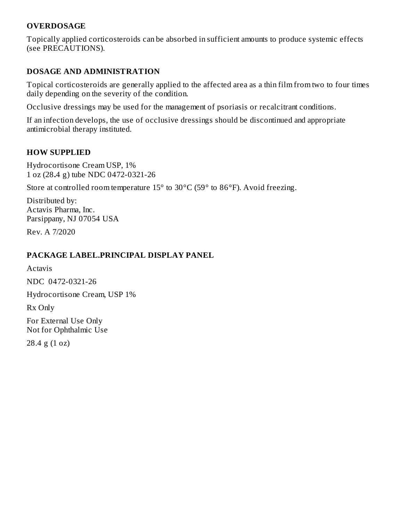#### **OVERDOSAGE**

Topically applied corticosteroids can be absorbed in sufficient amounts to produce systemic effects (see PRECAUTIONS).

### **DOSAGE AND ADMINISTRATION**

Topical corticosteroids are generally applied to the affected area as a thin film from two to four times daily depending on the severity of the condition.

Occlusive dressings may be used for the management of psoriasis or recalcitrant conditions.

If an infection develops, the use of occlusive dressings should be discontinued and appropriate antimicrobial therapy instituted.

#### **HOW SUPPLIED**

Hydrocortisone Cream USP, 1% 1 oz (28**.**4 g) tube NDC 0472-0321-26

Store at controlled room temperature 15° to 30°C (59° to 86°F). Avoid freezing.

Distributed by: Actavis Pharma, Inc. Parsippany, NJ 07054 USA

Rev. A 7/2020

#### **PACKAGE LABEL.PRINCIPAL DISPLAY PANEL**

Actavis

NDC 0472-0321-26

Hydrocortisone Cream, USP 1%

Rx Only

For External Use Only Not for Ophthalmic Use

28.4 g (1 oz)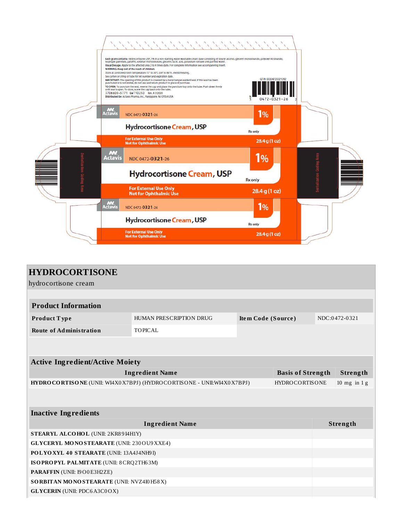

| <b>HYDROCORTISONE</b>                                                                            |                                |                    |                                      |  |  |  |  |
|--------------------------------------------------------------------------------------------------|--------------------------------|--------------------|--------------------------------------|--|--|--|--|
| hydrocortisone cream                                                                             |                                |                    |                                      |  |  |  |  |
|                                                                                                  |                                |                    |                                      |  |  |  |  |
| <b>Product Information</b>                                                                       |                                |                    |                                      |  |  |  |  |
| Product Type                                                                                     | <b>HUMAN PRESCRIPTION DRUG</b> | Item Code (Source) | NDC:0472-0321                        |  |  |  |  |
| <b>Route of Administration</b>                                                                   | <b>TOPICAL</b>                 |                    |                                      |  |  |  |  |
|                                                                                                  |                                |                    |                                      |  |  |  |  |
|                                                                                                  |                                |                    |                                      |  |  |  |  |
| <b>Active Ingredient/Active Moiety</b>                                                           |                                |                    |                                      |  |  |  |  |
| <b>Ingredient Name</b>                                                                           |                                |                    | <b>Basis of Strength</b><br>Strength |  |  |  |  |
| HYDRO CORTISONE (UNII: WI4X0 X7BPJ) (HYDROCORTISONE - UNII:WI4X0 X7BPJ)<br><b>HYDROCORTISONE</b> |                                |                    | $10$ mg in $1$ g                     |  |  |  |  |
|                                                                                                  |                                |                    |                                      |  |  |  |  |
|                                                                                                  |                                |                    |                                      |  |  |  |  |
| <b>Inactive Ingredients</b>                                                                      |                                |                    |                                      |  |  |  |  |
| <b>Ingredient Name</b>                                                                           |                                |                    | Strength                             |  |  |  |  |
| STEARYL ALCOHOL (UNII: 2KR89I4H1Y)                                                               |                                |                    |                                      |  |  |  |  |
| <b>GLYCERYL MONOSTEARATE (UNII: 230 OU9 XXE4)</b>                                                |                                |                    |                                      |  |  |  |  |
| POLYOXYL 40 STEARATE (UNII: 13A4J4NH9I)                                                          |                                |                    |                                      |  |  |  |  |
| ISOPROPYL PALMITATE (UNII: 8 CRQ2TH63M)                                                          |                                |                    |                                      |  |  |  |  |
| PARAFFIN (UNII: 1900E3H2ZE)                                                                      |                                |                    |                                      |  |  |  |  |
| SORBITAN MONOSTEARATE (UNII: NVZ4I0H58X)                                                         |                                |                    |                                      |  |  |  |  |
|                                                                                                  |                                |                    |                                      |  |  |  |  |